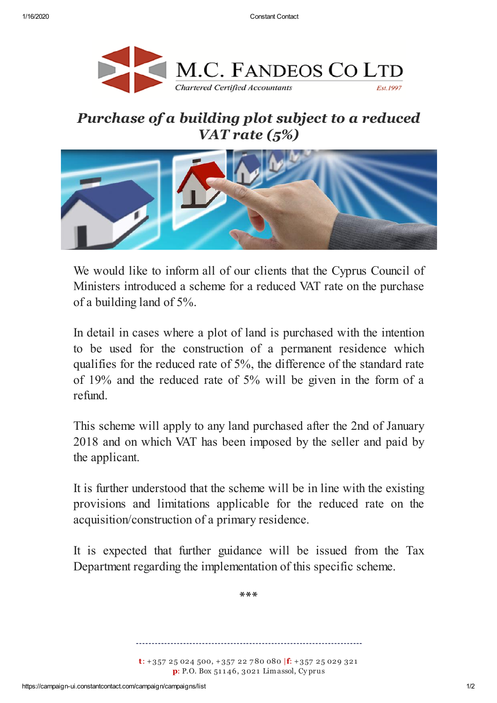

## *Purchase of a building plot subject to a reduced VAT rate (5%)*



We would like to inform all of our clients that the Cyprus Council of Ministers introduced a scheme for a reduced VAT rate on the purchase of a building land of 5%.

In detail in cases where a plot of land is purchased with the intention to be used for the construction of a permanent residence which qualifies for the reduced rate of 5%, the difference of the standard rate of 19% and the reduced rate of 5% will be given in the form of a refund.

This scheme will apply to any land purchased after the 2nd of January 2018 and on which VAT has been imposed by the seller and paid by the applicant.

It is further understood that the scheme will be in line with the existing provisions and limitations applicable for the reduced rate on the acquisition/construction of a primary residence.

It is expected that further guidance will be issued from the Tax Department regarding the implementation of this specific scheme.

**\*\*\***

**t**: +357 25 024 500, +357 22 7 80 080 |**f**: +357 25 029 321 **p**: P.O. Box 51 1 46, 3021 Limassol, Cy prus